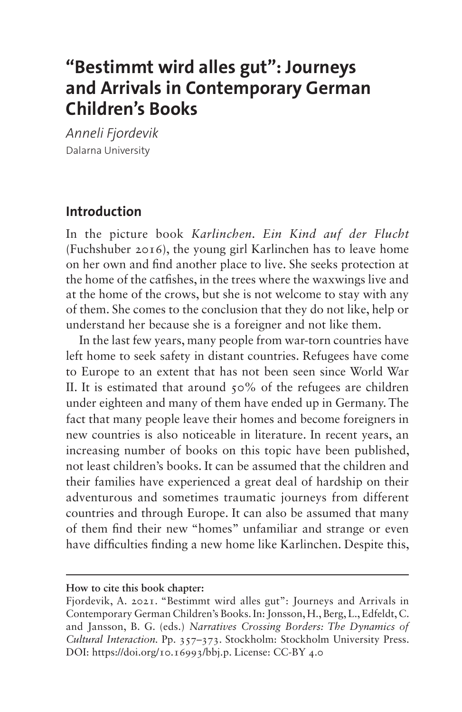# **"Bestimmt wird alles gut": Journeys and Arrivals in Contemporary German Children's Books**

*Anneli Fjordevik* Dalarna University

## **Introduction**

In the picture book *Karlinchen. Ein Kind auf der Flucht*  (Fuchshuber 2016), the young girl Karlinchen has to leave home on her own and find another place to live. She seeks protection at the home of the catfishes, in the trees where the waxwings live and at the home of the crows, but she is not welcome to stay with any of them. She comes to the conclusion that they do not like, help or understand her because she is a foreigner and not like them.

In the last few years, many people from war-torn countries have left home to seek safety in distant countries. Refugees have come to Europe to an extent that has not been seen since World War II. It is estimated that around 50% of the refugees are children under eighteen and many of them have ended up in Germany. The fact that many people leave their homes and become foreigners in new countries is also noticeable in literature. In recent years, an increasing number of books on this topic have been published, not least children's books. It can be assumed that the children and their families have experienced a great deal of hardship on their adventurous and sometimes traumatic journeys from different countries and through Europe. It can also be assumed that many of them find their new "homes" unfamiliar and strange or even have difficulties finding a new home like Karlinchen. Despite this,

**How to cite this book chapter:**

Fjordevik, A. 2021. "Bestimmt wird alles gut": Journeys and Arrivals in Contemporary German Children's Books. In: Jonsson, H., Berg, L., Edfeldt, C. and Jansson, B. G. (eds.) *Narratives Crossing Borders: The Dynamics of Cultural Interaction.* Pp. 357–373. Stockholm: Stockholm University Press. DOI: [https://doi.org/10.16993/bbj.p.](https://doi.org/10.16993/bbj.p) License: CC-BY 4.0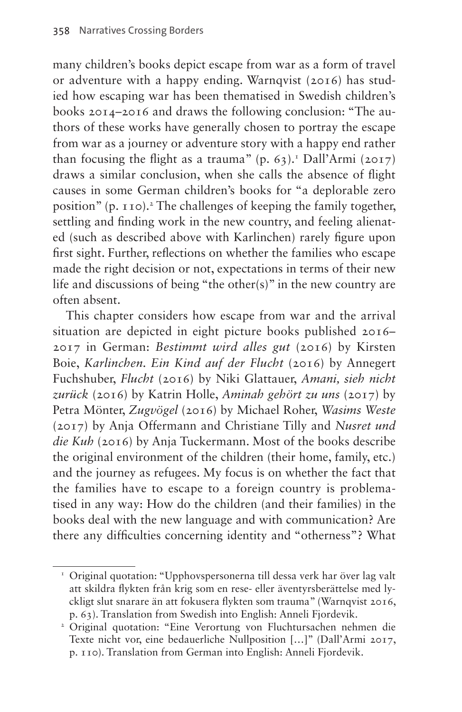many children's books depict escape from war as a form of travel or adventure with a happy ending. Warnqvist (2016) has studied how escaping war has been thematised in Swedish children's books 2014–2016 and draws the following conclusion: "The authors of these works have generally chosen to portray the escape from war as a journey or adventure story with a happy end rather than focusing the flight as a trauma"  $(p. 63)$ .<sup>T</sup> Dall'Armi (2017) draws a similar conclusion, when she calls the absence of flight causes in some German children's books for "a deplorable zero position" (p.  $110$ ).<sup>[2](#page-1-1)</sup> The challenges of keeping the family together, settling and finding work in the new country, and feeling alienated (such as described above with Karlinchen) rarely figure upon first sight. Further, reflections on whether the families who escape made the right decision or not, expectations in terms of their new life and discussions of being "the other(s)" in the new country are often absent.

This chapter considers how escape from war and the arrival situation are depicted in eight picture books published 2016– 2017 in German: *Bestimmt wird alles gut* (2016) by Kirsten Boie, *Karlinchen. Ein Kind auf der Flucht* (2016) by Annegert Fuchshuber, *Flucht* (2016) by Niki Glattauer, *Amani, sieh nicht zurück* (2016) by Katrin Holle, *Aminah gehört zu uns* (2017) by Petra Mönter, *Zugvögel* (2016) by Michael Roher, *Wasims Weste* (2017) by Anja Offermann and Christiane Tilly and *Nusret und die Kuh* (2016) by Anja Tuckermann. Most of the books describe the original environment of the children (their home, family, etc.) and the journey as refugees. My focus is on whether the fact that the families have to escape to a foreign country is problematised in any way: How do the children (and their families) in the books deal with the new language and with communication? Are there any difficulties concerning identity and "otherness"? What

<span id="page-1-0"></span><sup>&</sup>lt;sup>1</sup> Original quotation: "Upphovspersonerna till dessa verk har över lag valt att skildra flykten från krig som en rese- eller äventyrsberättelse med lyckligt slut snarare än att fokusera flykten som trauma" (Warnqvist 2016, p. 63). Translation from Swedish into English: Anneli Fjordevik.

<span id="page-1-1"></span><sup>2</sup> Original quotation: "Eine Verortung von Fluchtursachen nehmen die Texte nicht vor, eine bedauerliche Nullposition […]" (Dall'Armi 2017, p. 110). Translation from German into English: Anneli Fjordevik.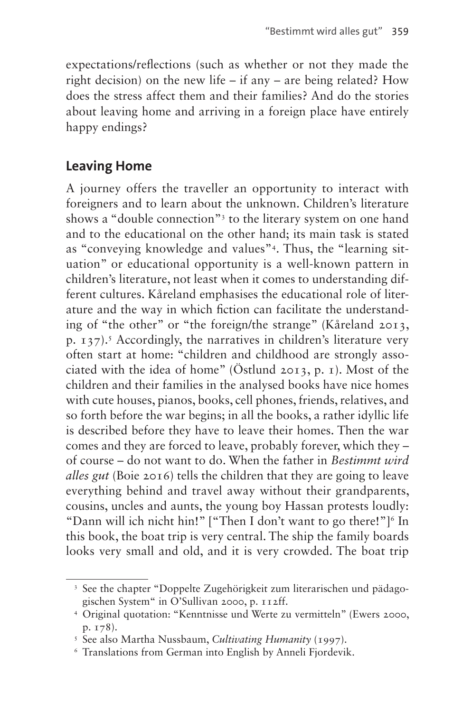expectations/reflections (such as whether or not they made the right decision) on the new life – if any – are being related? How does the stress affect them and their families? And do the stories about leaving home and arriving in a foreign place have entirely happy endings?

## **Leaving Home**

A journey offers the traveller an opportunity to interact with foreigners and to learn about the unknown. Children's literature shows a "double connection"<sup>3</sup> to the literary system on one hand and to the educational on the other hand; its main task is stated as "conveying knowledge and values"[4](#page-2-1) . Thus, the "learning situation" or educational opportunity is a well-known pattern in children's literature, not least when it comes to understanding different cultures. Kåreland emphasises the educational role of literature and the way in which fiction can facilitate the understanding of "the other" or "the foreign/the strange" (Kåreland 2013, p. 137).<sup>[5](#page-2-2)</sup> Accordingly, the narratives in children's literature very often start at home: "children and childhood are strongly associated with the idea of home" (Östlund 2013, p. 1). Most of the children and their families in the analysed books have nice homes with cute houses, pianos, books, cell phones, friends, relatives, and so forth before the war begins; in all the books, a rather idyllic life is described before they have to leave their homes. Then the war comes and they are forced to leave, probably forever, which they – of course – do not want to do. When the father in *Bestimmt wird alles gut* (Boie 2016) tells the children that they are going to leave everything behind and travel away without their grandparents, cousins, uncles and aunts, the young boy Hassan protests loudly: "Dann will ich nicht hin!" ["Then I don't want to go there!"]<sup>[6](#page-2-3)</sup> In this book, the boat trip is very central. The ship the family boards looks very small and old, and it is very crowded. The boat trip

<span id="page-2-0"></span><sup>3</sup> See the chapter "Doppelte Zugehörigkeit zum literarischen und pädagogischen System" in O'Sullivan 2000, p. 112ff.

<span id="page-2-1"></span><sup>4</sup> Original quotation: "Kenntnisse und Werte zu vermitteln" (Ewers 2000, p. 178).

<span id="page-2-2"></span><sup>5</sup> See also Martha Nussbaum, *Cultivating Humanity* (1997).

<span id="page-2-3"></span><sup>6</sup> Translations from German into English by Anneli Fjordevik.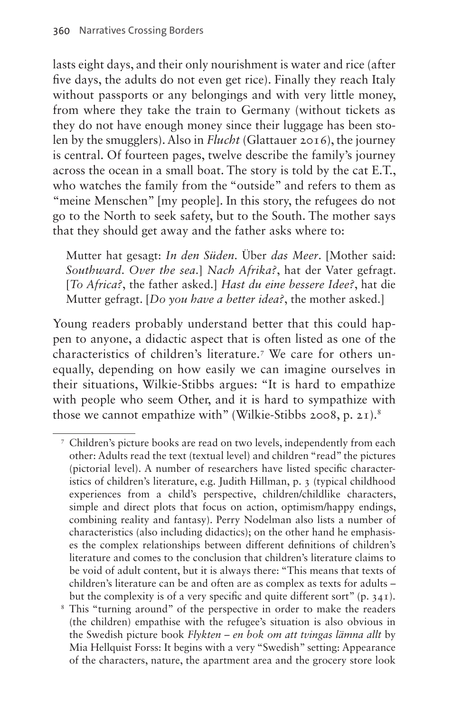lasts eight days, and their only nourishment is water and rice (after five days, the adults do not even get rice). Finally they reach Italy without passports or any belongings and with very little money, from where they take the train to Germany (without tickets as they do not have enough money since their luggage has been stolen by the smugglers). Also in *Flucht* (Glattauer 2016), the journey is central. Of fourteen pages, twelve describe the family's journey across the ocean in a small boat. The story is told by the cat E.T., who watches the family from the "outside" and refers to them as "meine Menschen" [my people]. In this story, the refugees do not go to the North to seek safety, but to the South. The mother says that they should get away and the father asks where to:

Mutter hat gesagt: *In den Süden*. Über *das Meer*. [Mother said: *Southward. Over the sea*.] *Nach Afrika?*, hat der Vater gefragt. [*To Africa?*, the father asked.] *Hast du eine bessere Idee?*, hat die Mutter gefragt. [*Do you have a better idea?*, the mother asked.]

Young readers probably understand better that this could happen to anyone, a didactic aspect that is often listed as one of the characteristics of children's literature.[7](#page-3-0) We care for others unequally, depending on how easily we can imagine ourselves in their situations, Wilkie-Stibbs argues: "It is hard to empathize with people who seem Other, and it is hard to sympathize with those we cannot empathize with" (Wilkie-Stibbs 2008, p. 21).<sup>8</sup>

<span id="page-3-1"></span><span id="page-3-0"></span><sup>7</sup> Children's picture books are read on two levels, independently from each other: Adults read the text (textual level) and children "read" the pictures (pictorial level). A number of researchers have listed specific characteristics of children's literature, e.g. Judith Hillman, p. 3 (typical childhood experiences from a child's perspective, children/childlike characters, simple and direct plots that focus on action, optimism/happy endings, combining reality and fantasy). Perry Nodelman also lists a number of characteristics (also including didactics); on the other hand he emphasises the complex relationships between different definitions of children's literature and comes to the conclusion that children's literature claims to be void of adult content, but it is always there: "This means that texts of children's literature can be and often are as complex as texts for adults – but the complexity is of a very specific and quite different sort" (p. 341). <sup>8</sup> This "turning around" of the perspective in order to make the readers (the children) empathise with the refugee's situation is also obvious in the Swedish picture book *Flykten – en bok om att tvingas lämna allt* by Mia Hellquist Forss: It begins with a very "Swedish" setting: Appearance of the characters, nature, the apartment area and the grocery store look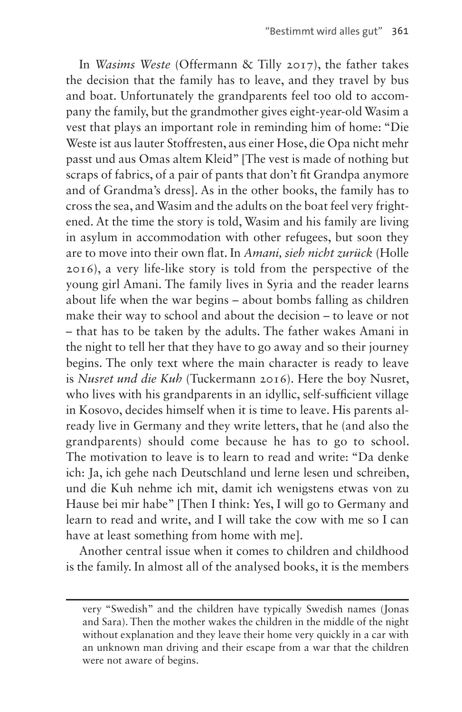In *Wasims Weste* (Offermann & Tilly 2017), the father takes the decision that the family has to leave, and they travel by bus and boat. Unfortunately the grandparents feel too old to accompany the family, but the grandmother gives eight-year-old Wasim a vest that plays an important role in reminding him of home: "Die Weste ist aus lauter Stoffresten, aus einer Hose, die Opa nicht mehr passt und aus Omas altem Kleid" [The vest is made of nothing but scraps of fabrics, of a pair of pants that don't fit Grandpa anymore and of Grandma's dress]. As in the other books, the family has to cross the sea, and Wasim and the adults on the boat feel very frightened. At the time the story is told, Wasim and his family are living in asylum in accommodation with other refugees, but soon they are to move into their own flat. In *Amani, sieh nicht zurück* (Holle 2016), a very life-like story is told from the perspective of the young girl Amani. The family lives in Syria and the reader learns about life when the war begins – about bombs falling as children make their way to school and about the decision – to leave or not – that has to be taken by the adults. The father wakes Amani in the night to tell her that they have to go away and so their journey begins. The only text where the main character is ready to leave is *Nusret und die Kuh* (Tuckermann 2016). Here the boy Nusret, who lives with his grandparents in an idyllic, self-sufficient village in Kosovo, decides himself when it is time to leave. His parents already live in Germany and they write letters, that he (and also the grandparents) should come because he has to go to school. The motivation to leave is to learn to read and write: "Da denke ich: Ja, ich gehe nach Deutschland und lerne lesen und schreiben, und die Kuh nehme ich mit, damit ich wenigstens etwas von zu Hause bei mir habe" [Then I think: Yes, I will go to Germany and learn to read and write, and I will take the cow with me so I can have at least something from home with me].

Another central issue when it comes to children and childhood is the family. In almost all of the analysed books, it is the members

very "Swedish" and the children have typically Swedish names (Jonas and Sara). Then the mother wakes the children in the middle of the night without explanation and they leave their home very quickly in a car with an unknown man driving and their escape from a war that the children were not aware of begins.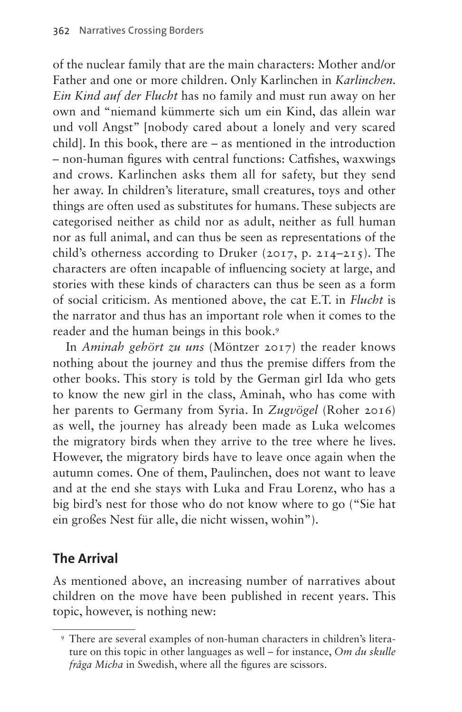of the nuclear family that are the main characters: Mother and/or Father and one or more children. Only Karlinchen in *Karlinchen. Ein Kind auf der Flucht* has no family and must run away on her own and "niemand kümmerte sich um ein Kind, das allein war und voll Angst" [nobody cared about a lonely and very scared child]. In this book, there are – as mentioned in the introduction – non-human figures with central functions: Catfishes, waxwings and crows. Karlinchen asks them all for safety, but they send her away. In children's literature, small creatures, toys and other things are often used as substitutes for humans. These subjects are categorised neither as child nor as adult, neither as full human nor as full animal, and can thus be seen as representations of the child's otherness according to Druker (2017, p. 214–215). The characters are often incapable of influencing society at large, and stories with these kinds of characters can thus be seen as a form of social criticism. As mentioned above, the cat E.T. in *Flucht* is the narrator and thus has an important role when it comes to the reader and the human beings in this book.[9](#page-5-0)

In *Aminah gehört zu uns* (Möntzer 2017) the reader knows nothing about the journey and thus the premise differs from the other books. This story is told by the German girl Ida who gets to know the new girl in the class, Aminah, who has come with her parents to Germany from Syria. In *Zugvögel* (Roher 2016) as well, the journey has already been made as Luka welcomes the migratory birds when they arrive to the tree where he lives. However, the migratory birds have to leave once again when the autumn comes. One of them, Paulinchen, does not want to leave and at the end she stays with Luka and Frau Lorenz, who has a big bird's nest for those who do not know where to go ("Sie hat ein großes Nest für alle, die nicht wissen, wohin").

# **The Arrival**

As mentioned above, an increasing number of narratives about children on the move have been published in recent years. This topic, however, is nothing new:

<span id="page-5-0"></span><sup>9</sup> There are several examples of non-human characters in children's literature on this topic in other languages as well – for instance, *Om du skulle fråga Micha* in Swedish, where all the figures are scissors.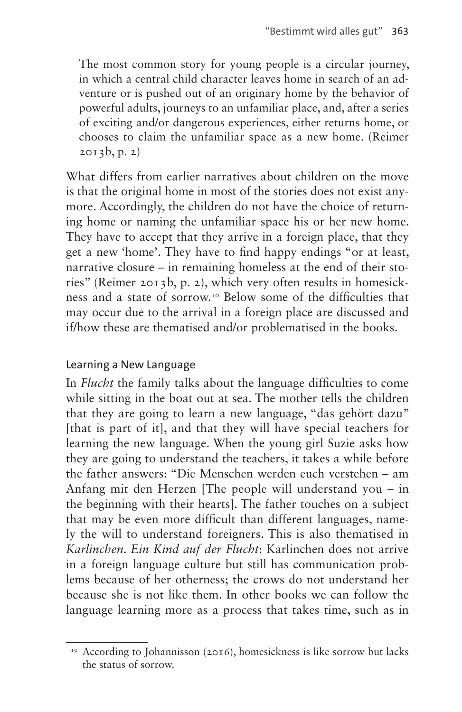The most common story for young people is a circular journey, in which a central child character leaves home in search of an adventure or is pushed out of an originary home by the behavior of powerful adults, journeys to an unfamiliar place, and, after a series of exciting and/or dangerous experiences, either returns home, or chooses to claim the unfamiliar space as a new home. (Reimer 2013b, p. 2)

What differs from earlier narratives about children on the move is that the original home in most of the stories does not exist anymore. Accordingly, the children do not have the choice of returning home or naming the unfamiliar space his or her new home. They have to accept that they arrive in a foreign place, that they get a new 'home'. They have to find happy endings "or at least, narrative closure – in remaining homeless at the end of their stories" (Reimer 2013b, p. 2), which very often results in homesickness and a state of sorrow.[10](#page-6-0) Below some of the difficulties that may occur due to the arrival in a foreign place are discussed and if/how these are thematised and/or problematised in the books.

## Learning a New Language

In *Flucht* the family talks about the language difficulties to come while sitting in the boat out at sea. The mother tells the children that they are going to learn a new language, "das gehört dazu" [that is part of it], and that they will have special teachers for learning the new language. When the young girl Suzie asks how they are going to understand the teachers, it takes a while before the father answers: "Die Menschen werden euch verstehen – am Anfang mit den Herzen [The people will understand you – in the beginning with their hearts]. The father touches on a subject that may be even more difficult than different languages, namely the will to understand foreigners. This is also thematised in *Karlinchen. Ein Kind auf der Flucht*: Karlinchen does not arrive in a foreign language culture but still has communication problems because of her otherness; the crows do not understand her because she is not like them. In other books we can follow the language learning more as a process that takes time, such as in

<span id="page-6-0"></span> $10<sup>10</sup>$  According to Johannisson (2016), homesickness is like sorrow but lacks the status of sorrow.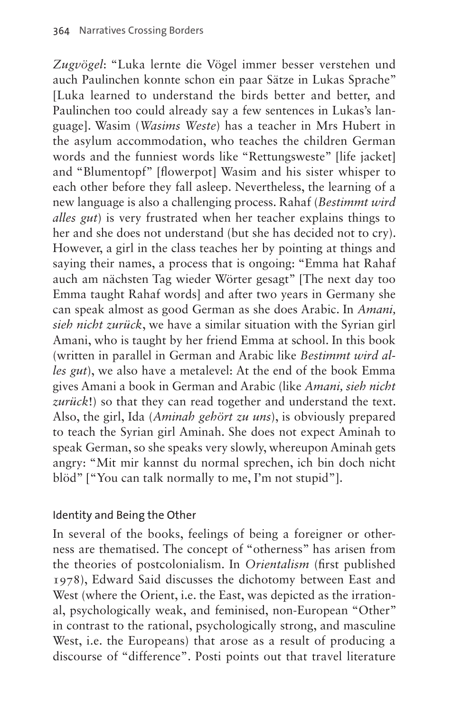*Zugvögel*: "Luka lernte die Vögel immer besser verstehen und auch Paulinchen konnte schon ein paar Sätze in Lukas Sprache" [Luka learned to understand the birds better and better, and Paulinchen too could already say a few sentences in Lukas's language]. Wasim (*Wasims Weste*) has a teacher in Mrs Hubert in the asylum accommodation, who teaches the children German words and the funniest words like "Rettungsweste" [life jacket] and "Blumentopf" [flowerpot] Wasim and his sister whisper to each other before they fall asleep. Nevertheless, the learning of a new language is also a challenging process. Rahaf (*Bestimmt wird alles gut*) is very frustrated when her teacher explains things to her and she does not understand (but she has decided not to cry). However, a girl in the class teaches her by pointing at things and saying their names, a process that is ongoing: "Emma hat Rahaf auch am nächsten Tag wieder Wörter gesagt" [The next day too Emma taught Rahaf words] and after two years in Germany she can speak almost as good German as she does Arabic. In *Amani, sieh nicht zurück*, we have a similar situation with the Syrian girl Amani, who is taught by her friend Emma at school. In this book (written in parallel in German and Arabic like *Bestimmt wird alles gut*), we also have a metalevel: At the end of the book Emma gives Amani a book in German and Arabic (like *Amani, sieh nicht zurück*!) so that they can read together and understand the text. Also, the girl, Ida (*Aminah gehört zu uns*), is obviously prepared to teach the Syrian girl Aminah. She does not expect Aminah to speak German, so she speaks very slowly, whereupon Aminah gets angry: "Mit mir kannst du normal sprechen, ich bin doch nicht blöd" ["You can talk normally to me, I'm not stupid"].

#### Identity and Being the Other

In several of the books, feelings of being a foreigner or otherness are thematised. The concept of "otherness" has arisen from the theories of postcolonialism. In *Orientalism* (first published 1978), Edward Said discusses the dichotomy between East and West (where the Orient, i.e. the East, was depicted as the irrational, psychologically weak, and feminised, non-European "Other" in contrast to the rational, psychologically strong, and masculine West, i.e. the Europeans) that arose as a result of producing a discourse of "difference". Posti points out that travel literature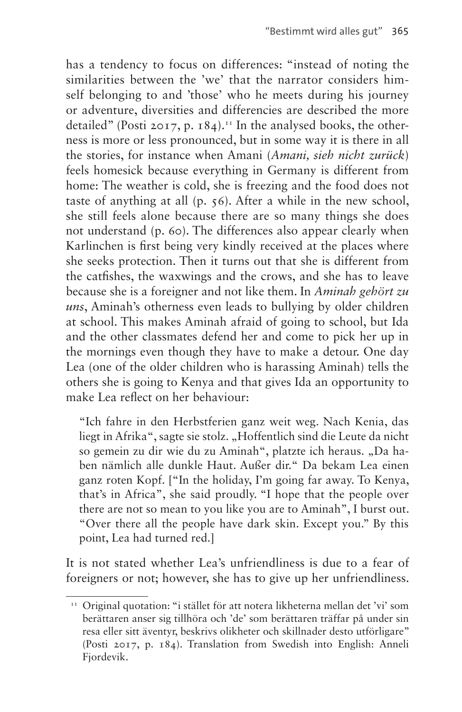has a tendency to focus on differences: "instead of noting the similarities between the 'we' that the narrator considers himself belonging to and 'those' who he meets during his journey or adventure, diversities and differencies are described the more detailed" (Posti 2017, p. 184).<sup>11</sup> In the analysed books, the otherness is more or less pronounced, but in some way it is there in all the stories, for instance when Amani (*Amani, sieh nicht zurück*) feels homesick because everything in Germany is different from home: The weather is cold, she is freezing and the food does not taste of anything at all (p. 56). After a while in the new school, she still feels alone because there are so many things she does not understand (p. 60). The differences also appear clearly when Karlinchen is first being very kindly received at the places where she seeks protection. Then it turns out that she is different from the catfishes, the waxwings and the crows, and she has to leave because she is a foreigner and not like them. In *Aminah gehört zu uns*, Aminah's otherness even leads to bullying by older children at school. This makes Aminah afraid of going to school, but Ida and the other classmates defend her and come to pick her up in the mornings even though they have to make a detour. One day Lea (one of the older children who is harassing Aminah) tells the others she is going to Kenya and that gives Ida an opportunity to make Lea reflect on her behaviour:

"Ich fahre in den Herbstferien ganz weit weg. Nach Kenia, das liegt in Afrika", sagte sie stolz. "Hoffentlich sind die Leute da nicht so gemein zu dir wie du zu Aminah", platzte ich heraus. "Da haben nämlich alle dunkle Haut. Außer dir." Da bekam Lea einen ganz roten Kopf. ["In the holiday, I'm going far away. To Kenya, that's in Africa", she said proudly. "I hope that the people over there are not so mean to you like you are to Aminah", I burst out. "Over there all the people have dark skin. Except you." By this point, Lea had turned red.]

It is not stated whether Lea's unfriendliness is due to a fear of foreigners or not; however, she has to give up her unfriendliness.

<span id="page-8-0"></span><sup>&</sup>lt;sup>11</sup> Original quotation: "i stället för att notera likheterna mellan det 'vi' som berättaren anser sig tillhöra och 'de' som berättaren träffar på under sin resa eller sitt äventyr, beskrivs olikheter och skillnader desto utförligare" (Posti 2017, p. 184). Translation from Swedish into English: Anneli Fjordevik.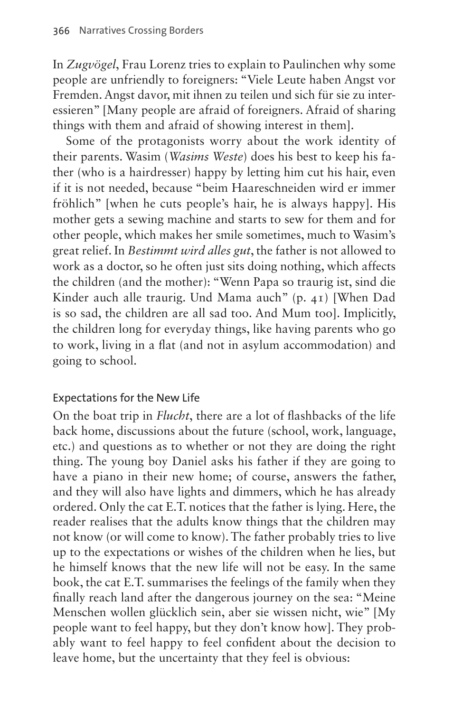In *Zugvögel*, Frau Lorenz tries to explain to Paulinchen why some people are unfriendly to foreigners: "Viele Leute haben Angst vor Fremden. Angst davor, mit ihnen zu teilen und sich für sie zu interessieren" [Many people are afraid of foreigners. Afraid of sharing things with them and afraid of showing interest in them].

Some of the protagonists worry about the work identity of their parents. Wasim (*Wasims Weste*) does his best to keep his father (who is a hairdresser) happy by letting him cut his hair, even if it is not needed, because "beim Haareschneiden wird er immer fröhlich" [when he cuts people's hair, he is always happy]. His mother gets a sewing machine and starts to sew for them and for other people, which makes her smile sometimes, much to Wasim's great relief. In *Bestimmt wird alles gut*, the father is not allowed to work as a doctor, so he often just sits doing nothing, which affects the children (and the mother): "Wenn Papa so traurig ist, sind die Kinder auch alle traurig. Und Mama auch" (p. 41) [When Dad is so sad, the children are all sad too. And Mum too]. Implicitly, the children long for everyday things, like having parents who go to work, living in a flat (and not in asylum accommodation) and going to school.

#### Expectations for the New Life

On the boat trip in *Flucht*, there are a lot of flashbacks of the life back home, discussions about the future (school, work, language, etc.) and questions as to whether or not they are doing the right thing. The young boy Daniel asks his father if they are going to have a piano in their new home; of course, answers the father, and they will also have lights and dimmers, which he has already ordered. Only the cat E.T. notices that the father is lying. Here, the reader realises that the adults know things that the children may not know (or will come to know). The father probably tries to live up to the expectations or wishes of the children when he lies, but he himself knows that the new life will not be easy. In the same book, the cat E.T. summarises the feelings of the family when they finally reach land after the dangerous journey on the sea: "Meine Menschen wollen glücklich sein, aber sie wissen nicht, wie" [My people want to feel happy, but they don't know how]. They probably want to feel happy to feel confident about the decision to leave home, but the uncertainty that they feel is obvious: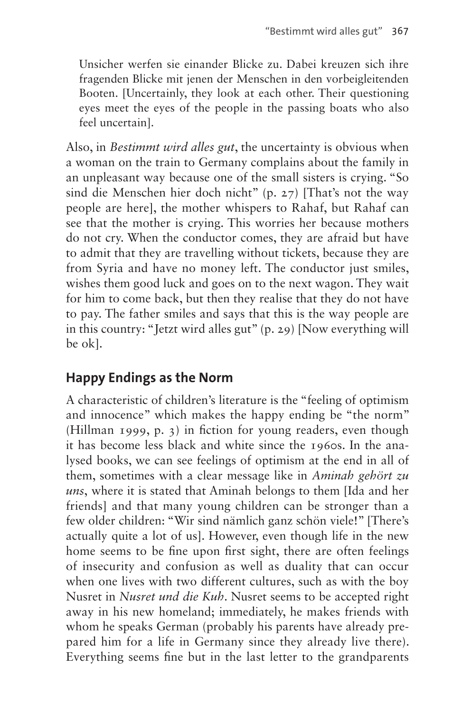Unsicher werfen sie einander Blicke zu. Dabei kreuzen sich ihre fragenden Blicke mit jenen der Menschen in den vorbeigleitenden Booten. [Uncertainly, they look at each other. Their questioning eyes meet the eyes of the people in the passing boats who also feel uncertain].

Also, in *Bestimmt wird alles gut*, the uncertainty is obvious when a woman on the train to Germany complains about the family in an unpleasant way because one of the small sisters is crying. "So sind die Menschen hier doch nicht" (p. 27) [That's not the way people are here], the mother whispers to Rahaf, but Rahaf can see that the mother is crying. This worries her because mothers do not cry. When the conductor comes, they are afraid but have to admit that they are travelling without tickets, because they are from Syria and have no money left. The conductor just smiles, wishes them good luck and goes on to the next wagon. They wait for him to come back, but then they realise that they do not have to pay. The father smiles and says that this is the way people are in this country: "Jetzt wird alles gut" (p. 29) [Now everything will be ok].

# **Happy Endings as the Norm**

A characteristic of children's literature is the "feeling of optimism and innocence" which makes the happy ending be "the norm" (Hillman 1999, p. 3) in fiction for young readers, even though it has become less black and white since the 1960s. In the analysed books, we can see feelings of optimism at the end in all of them, sometimes with a clear message like in *Aminah gehört zu uns*, where it is stated that Aminah belongs to them [Ida and her friends] and that many young children can be stronger than a few older children: "Wir sind nämlich ganz schön viele!" [There's actually quite a lot of us]. However, even though life in the new home seems to be fine upon first sight, there are often feelings of insecurity and confusion as well as duality that can occur when one lives with two different cultures, such as with the boy Nusret in *Nusret und die Kuh*. Nusret seems to be accepted right away in his new homeland; immediately, he makes friends with whom he speaks German (probably his parents have already prepared him for a life in Germany since they already live there). Everything seems fine but in the last letter to the grandparents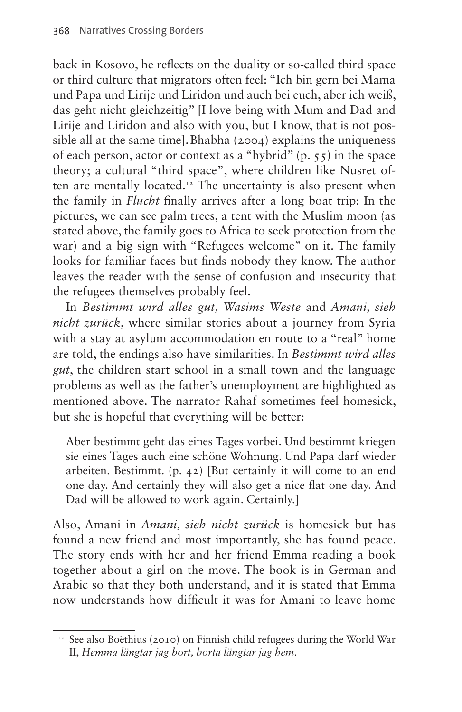back in Kosovo, he reflects on the duality or so-called third space or third culture that migrators often feel: "Ich bin gern bei Mama und Papa und Lirije und Liridon und auch bei euch, aber ich weiß, das geht nicht gleichzeitig" [I love being with Mum and Dad and Lirije and Liridon and also with you, but I know, that is not possible all at the same time].Bhabha (2004) explains the uniqueness of each person, actor or context as a "hybrid" (p. 55) in the space theory; a cultural "third space", where children like Nusret of-ten are mentally located.<sup>[12](#page-11-0)</sup> The uncertainty is also present when the family in *Flucht* finally arrives after a long boat trip: In the pictures, we can see palm trees, a tent with the Muslim moon (as stated above, the family goes to Africa to seek protection from the war) and a big sign with "Refugees welcome" on it. The family looks for familiar faces but finds nobody they know. The author leaves the reader with the sense of confusion and insecurity that the refugees themselves probably feel.

In *Bestimmt wird alles gut, Wasims Weste* and *Amani, sieh nicht zurück*, where similar stories about a journey from Syria with a stay at asylum accommodation en route to a "real" home are told, the endings also have similarities. In *Bestimmt wird alles gut*, the children start school in a small town and the language problems as well as the father's unemployment are highlighted as mentioned above. The narrator Rahaf sometimes feel homesick, but she is hopeful that everything will be better:

Aber bestimmt geht das eines Tages vorbei. Und bestimmt kriegen sie eines Tages auch eine schöne Wohnung. Und Papa darf wieder arbeiten. Bestimmt. (p. 42) [But certainly it will come to an end one day. And certainly they will also get a nice flat one day. And Dad will be allowed to work again. Certainly.]

Also, Amani in *Amani, sieh nicht zurück* is homesick but has found a new friend and most importantly, she has found peace. The story ends with her and her friend Emma reading a book together about a girl on the move. The book is in German and Arabic so that they both understand, and it is stated that Emma now understands how difficult it was for Amani to leave home

<span id="page-11-0"></span><sup>12</sup> See also Boëthius (2010) on Finnish child refugees during the World War II, *Hemma längtar jag bort, borta längtar jag hem*.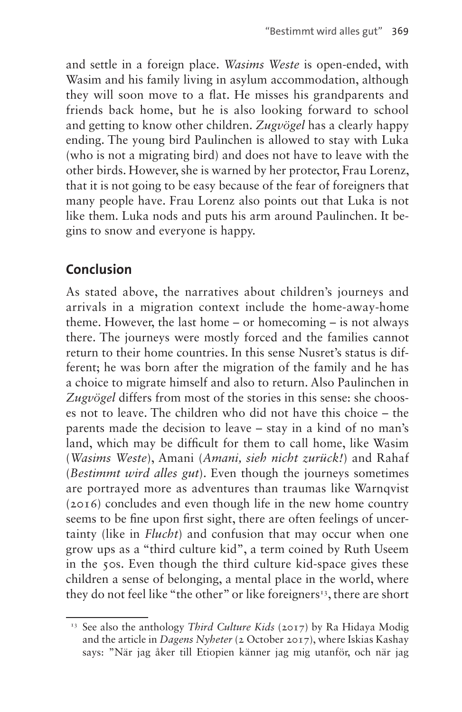and settle in a foreign place. *Wasims Weste* is open-ended, with Wasim and his family living in asylum accommodation, although they will soon move to a flat. He misses his grandparents and friends back home, but he is also looking forward to school and getting to know other children. *Zugvögel* has a clearly happy ending. The young bird Paulinchen is allowed to stay with Luka (who is not a migrating bird) and does not have to leave with the other birds. However, she is warned by her protector, Frau Lorenz, that it is not going to be easy because of the fear of foreigners that many people have. Frau Lorenz also points out that Luka is not like them. Luka nods and puts his arm around Paulinchen. It begins to snow and everyone is happy.

# **Conclusion**

As stated above, the narratives about children's journeys and arrivals in a migration context include the home-away-home theme. However, the last home – or homecoming – is not always there. The journeys were mostly forced and the families cannot return to their home countries. In this sense Nusret's status is different; he was born after the migration of the family and he has a choice to migrate himself and also to return. Also Paulinchen in *Zugvögel* differs from most of the stories in this sense: she chooses not to leave. The children who did not have this choice – the parents made the decision to leave – stay in a kind of no man's land, which may be difficult for them to call home, like Wasim (*Wasims Weste*), Amani (*Amani, sieh nicht zurück!*) and Rahaf (*Bestimmt wird alles gut*). Even though the journeys sometimes are portrayed more as adventures than traumas like Warnqvist (2016) concludes and even though life in the new home country seems to be fine upon first sight, there are often feelings of uncertainty (like in *Flucht*) and confusion that may occur when one grow ups as a "third culture kid", a term coined by Ruth Useem in the 50s. Even though the third culture kid-space gives these children a sense of belonging, a mental place in the world, where they do not feel like "the other" or like foreigners<sup>13</sup>, there are short

<span id="page-12-0"></span><sup>&</sup>lt;sup>13</sup> See also the anthology *Third Culture Kids* (2017) by Ra Hidaya Modig and the article in *Dagens Nyheter* (2 October 2017), where Iskias Kashay says: "När jag åker till Etiopien känner jag mig utanför, och när jag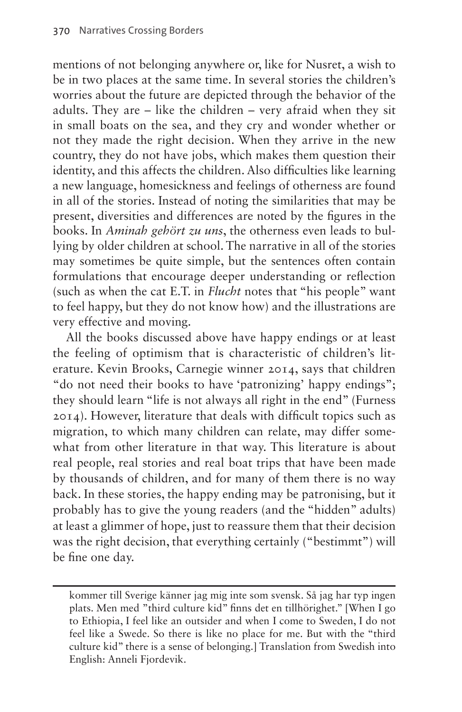mentions of not belonging anywhere or, like for Nusret, a wish to be in two places at the same time. In several stories the children's worries about the future are depicted through the behavior of the adults. They are – like the children – very afraid when they sit in small boats on the sea, and they cry and wonder whether or not they made the right decision. When they arrive in the new country, they do not have jobs, which makes them question their identity, and this affects the children. Also difficulties like learning a new language, homesickness and feelings of otherness are found in all of the stories. Instead of noting the similarities that may be present, diversities and differences are noted by the figures in the books. In *Aminah gehört zu uns*, the otherness even leads to bullying by older children at school. The narrative in all of the stories may sometimes be quite simple, but the sentences often contain formulations that encourage deeper understanding or reflection (such as when the cat E.T. in *Flucht* notes that "his people" want to feel happy, but they do not know how) and the illustrations are very effective and moving.

All the books discussed above have happy endings or at least the feeling of optimism that is characteristic of children's literature. Kevin Brooks, Carnegie winner 2014, says that children "do not need their books to have 'patronizing' happy endings"; they should learn "life is not always all right in the end" (Furness 2014). However, literature that deals with difficult topics such as migration, to which many children can relate, may differ somewhat from other literature in that way. This literature is about real people, real stories and real boat trips that have been made by thousands of children, and for many of them there is no way back. In these stories, the happy ending may be patronising, but it probably has to give the young readers (and the "hidden" adults) at least a glimmer of hope, just to reassure them that their decision was the right decision, that everything certainly ("bestimmt") will be fine one day.

kommer till Sverige känner jag mig inte som svensk. Så jag har typ ingen plats. Men med "third culture kid" finns det en tillhörighet." [When I go to Ethiopia, I feel like an outsider and when I come to Sweden, I do not feel like a Swede. So there is like no place for me. But with the "third culture kid" there is a sense of belonging.] Translation from Swedish into English: Anneli Fjordevik.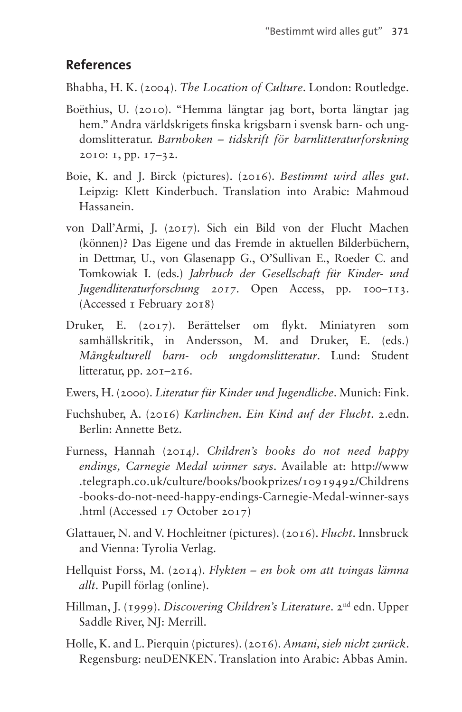#### **References**

Bhabha, H. K. (2004). *The Location of Culture*. London: Routledge.

- Boëthius, U. (2010). "Hemma längtar jag bort, borta längtar jag hem." Andra världskrigets finska krigsbarn i svensk barn- och ungdomslitteratur. *Barnboken – tidskrift för barnlitteraturforskning* 2010: 1, pp. 17–32.
- Boie, K. and J. Birck (pictures). (2016). *Bestimmt wird alles gut*. Leipzig: Klett Kinderbuch. Translation into Arabic: Mahmoud Hassanein.
- von Dall'Armi, J. (2017). Sich ein Bild von der Flucht Machen (können)? Das Eigene und das Fremde in aktuellen Bilderbüchern, in Dettmar, U., von Glasenapp G., O'Sullivan E., Roeder C. and Tomkowiak I. (eds.) *Jahrbuch der Gesellschaft für Kinder- und Jugendliteraturforschung 2017*. Open Access, pp. 100–113. (Accessed 1 February 2018)
- Druker, E. (2017). Berättelser om flykt. Miniatyren som samhällskritik, in Andersson, M. and Druker, E. (eds.) *Mångkulturell barn- och ungdomslitteratur*. Lund: Student litteratur, pp. 201–216.
- Ewers, H. (2000). *Literatur für Kinder und Jugendliche*. Munich: Fink.
- Fuchshuber, A. (2016) *Karlinchen. Ein Kind auf der Flucht*. 2.edn. Berlin: Annette Betz.
- Furness, Hannah (2014*)*. *Children's books do not need happy endings, Carnegie Medal winner says*. Available at: [http://www](http://www.telegraph.co.uk/culture/books/bookprizes/10919492/Childrens-books-do-‌not-need-happy-endings-Carnegie-Medal-winner-says.html) [.telegraph.co.uk/culture/books/bookprizes/10919492/Childrens](http://www.telegraph.co.uk/culture/books/bookprizes/10919492/Childrens-books-do-‌not-need-happy-endings-Carnegie-Medal-winner-says.html) [-books-do-not-need-happy-endings-Carnegie-Medal-winner-says](http://www.telegraph.co.uk/culture/books/bookprizes/10919492/Childrens-books-do-‌not-need-happy-endings-Carnegie-Medal-winner-says.html) [.html](http://www.telegraph.co.uk/culture/books/bookprizes/10919492/Childrens-books-do-‌not-need-happy-endings-Carnegie-Medal-winner-says.html) (Accessed 17 October 2017)
- Glattauer, N. and V. Hochleitner (pictures). (2016). *Flucht*. Innsbruck and Vienna: Tyrolia Verlag.
- Hellquist Forss, M. (2014). *Flykten en bok om att tvingas lämna allt*. Pupill förlag (online).
- Hillman, J. (1999). *Discovering Children's Literature*. 2nd edn. Upper Saddle River, NJ: Merrill.
- Holle, K. and L. Pierquin (pictures). (2016). *Amani, sieh nicht zurück*. Regensburg: neuDENKEN. Translation into Arabic: Abbas Amin.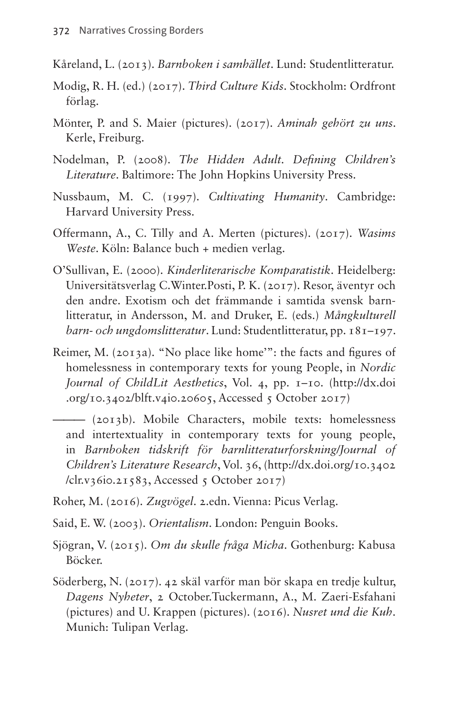- Kåreland, L. (2013). *Barnboken i samhället*. Lund: Studentlitteratur.
- Modig, R. H. (ed.) (2017). *Third Culture Kids*. Stockholm: Ordfront förlag.
- Mönter, P. and S. Maier (pictures). (2017). *Aminah gehört zu uns*. Kerle, Freiburg.
- Nodelman, P. (2008). *The Hidden Adult. Defining Children's Literature*. Baltimore: The John Hopkins University Press.
- Nussbaum, M. C. (1997). *Cultivating Humanity*. Cambridge: Harvard University Press.
- Offermann, A., C. Tilly and A. Merten (pictures). (2017). *Wasims Weste*. Köln: Balance buch + medien verlag.
- O'Sullivan, E. (2000). *Kinderliterarische Komparatistik*. Heidelberg: Universitätsverlag C.Winter.Posti, P. K. (2017). Resor, äventyr och den andre. Exotism och det främmande i samtida svensk barnlitteratur, in Andersson, M. and Druker, E. (eds.) *Mångkulturell barn- och ungdomslitteratur*. Lund: Studentlitteratur, pp. 181–197.
- Reimer, M. (2013a). "No place like home'": the facts and figures of homelessness in contemporary texts for young People, in *Nordic Journal of ChildLit Aesthetics*, Vol. 4, pp. 1–10. [\(http://dx.doi](http://dx.doi.org/10.3402/blft.v4i0.20605) [.org/10.3402/blft.v4i0.20605,](http://dx.doi.org/10.3402/blft.v4i0.20605) Accessed 5 October 2017)

——— (2013b). Mobile Characters, mobile texts: homelessness and intertextuality in contemporary texts for young people, in *Barnboken tidskrift för barnlitteraturforskning/Journal of Children's Literature Research*, Vol. 36, [\(http://dx.doi.org/10.3402](http://dx.doi.org/10.3402/clr.v36i0.21583)  $/$ clr.v36i0.21583, Accessed 5 October 2017)

- Roher, M. (2016). *Zugvögel*. 2.edn. Vienna: Picus Verlag.
- Said, E. W. (2003). *Orientalism*. London: Penguin Books.
- Sjögran, V. (2015). *Om du skulle fråga Micha*. Gothenburg: Kabusa Böcker.
- Söderberg, N. (2017). 42 skäl varför man bör skapa en tredje kultur, *Dagens Nyheter*, 2 October.Tuckermann, A., M. Zaeri-Esfahani (pictures) and U. Krappen (pictures). (2016). *Nusret und die Kuh*. Munich: Tulipan Verlag.